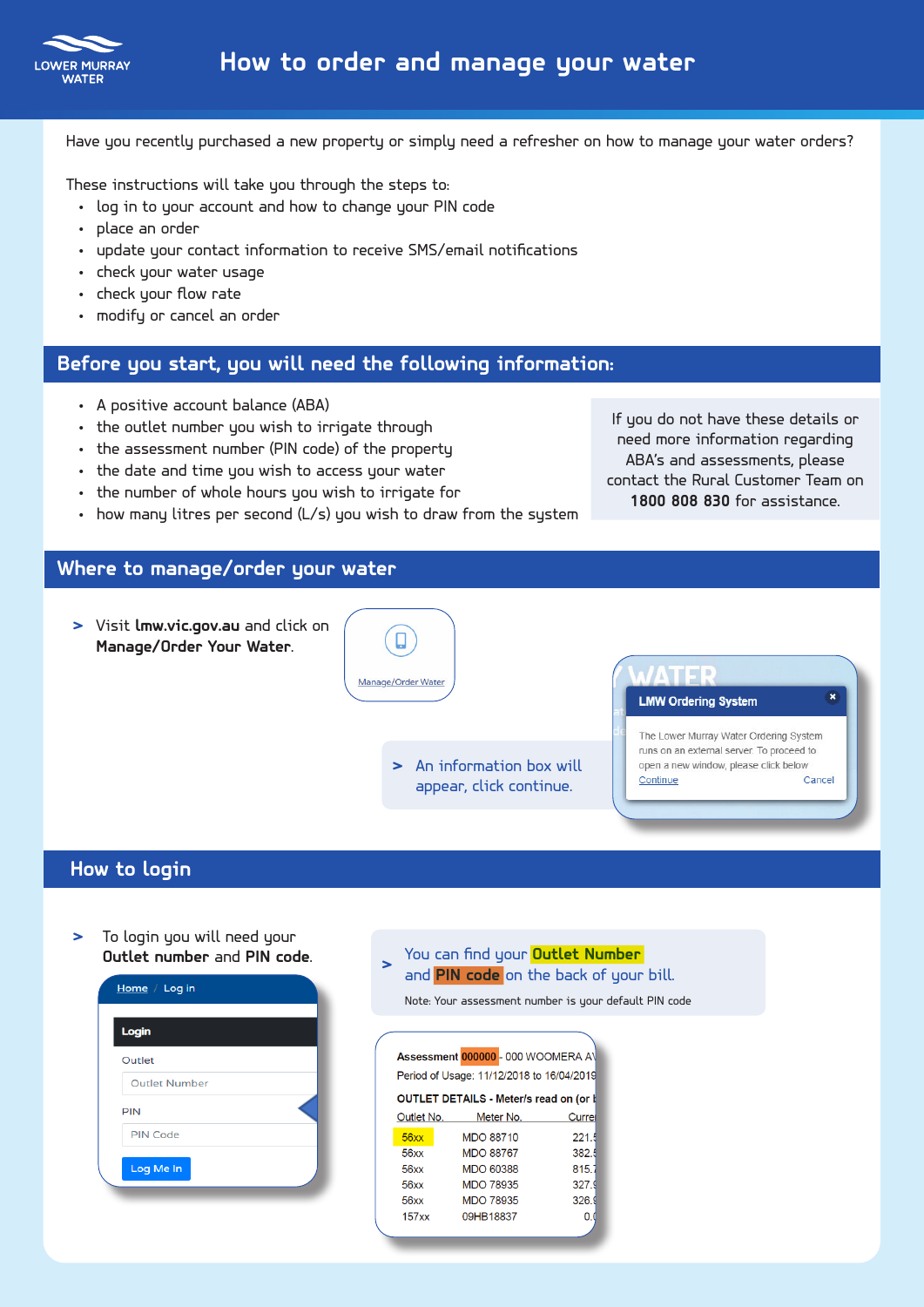

Have you recently purchased a new property or simply need a refresher on how to manage your water orders?

These instructions will take you through the steps to:

- log in to your account and how to change your PIN code
- place an order
- update your contact information to receive SMS/email notifications
- check your water usage
- check your flow rate
- modify or cancel an order

### **Before you start, you will need the following information:**

- A positive account balance (ABA)
- the outlet number you wish to irrigate through
- the assessment number (PIN code) of the property
- the date and time you wish to access your water
- the number of whole hours you wish to irrigate for
- how many litres per second (L/s) you wish to draw from the system

If you do not have these details or need more information regarding ABA's and assessments, please contact the Rural Customer Team on **1800 808 830** for assistance.

# **Where to manage/order your water**

**>** Visit **lmw.vic.gov.au** and click on Ο Manage/Order Your Water. Manage/Order Water **LMW Ordering System** The Lower Murray Water Ordering System runs on an external server. To proceed to **>** An information box will open a new window, please click below Continue Cancel appear, click continue.

#### **How to login** i<br>I

**>** To login you will need your

|     | Home / Log in        |
|-----|----------------------|
|     | Login                |
|     | Outlet               |
|     | <b>Outlet Number</b> |
| PIN |                      |
|     | <b>PIN Code</b>      |
|     | Log Me In            |

#### **> Outlet number** and **PIN code**. You can find your **Outlet Number** and **PIN 2008** on the back of your bill.

Note: Your assessment number is your default PIN code

 $\overline{\phantom{a}}$ 

|                                           | Assessment 000000 - 000 WOOMERA AV     |       |  |  |  |  |  |  |  |  |
|-------------------------------------------|----------------------------------------|-------|--|--|--|--|--|--|--|--|
| Period of Usage: 11/12/2018 to 16/04/2019 |                                        |       |  |  |  |  |  |  |  |  |
|                                           | OUTLET DETAILS - Meter/s read on (or I |       |  |  |  |  |  |  |  |  |
| Outlet No.                                | Meter No.                              | Curre |  |  |  |  |  |  |  |  |
| 56xx                                      | <b>MDO 88710</b>                       | 221.5 |  |  |  |  |  |  |  |  |
| 56xx                                      | <b>MDO 88767</b>                       | 382.5 |  |  |  |  |  |  |  |  |
| 56xx                                      | MDO 60388                              | 815.  |  |  |  |  |  |  |  |  |
| 56xx                                      | <b>MDO 78935</b>                       | 327.9 |  |  |  |  |  |  |  |  |
| 56xx                                      | <b>MDO 78935</b>                       | 326.9 |  |  |  |  |  |  |  |  |
| 157xx                                     | 09HB18837                              | O     |  |  |  |  |  |  |  |  |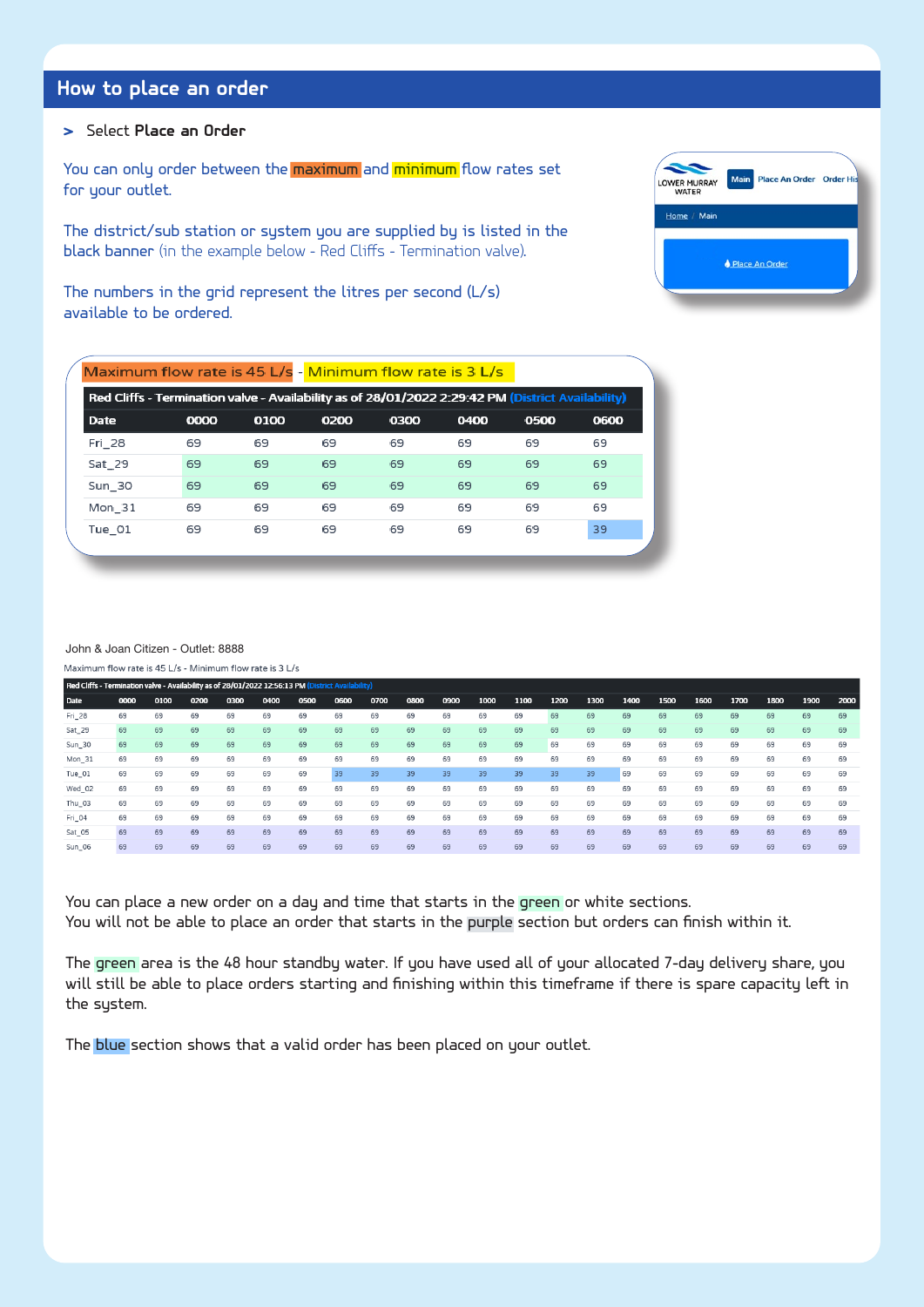# **How to place an order**

# **>** Select **Place an Order**

TIME TO PLACE AN ORDER TIME TO PLACE AN ORDER You can only order between the <mark>maximum</mark> and <mark>minimum</mark> flow rates set for your outlet.

The district/sub station or system you are supplied by is listed in the black banner (in the example below - Red Cliffs - Termination valve).

The numbers in the grid represent the litres per second (L/s) available to be ordered.

|        | Maximum flow rate is 45 L/s - Minimum flow rate is 3 L/s                                          |      |      |      |      |      |      |
|--------|---------------------------------------------------------------------------------------------------|------|------|------|------|------|------|
|        | Red Cliffs - Termination valve - Availability as of 28/01/2022 2:29:42 PM (District Availability) |      |      |      |      |      |      |
| Date   | 0000                                                                                              | 0100 | 0200 | 0300 | 0400 | 0500 | 0600 |
| Fri 28 | 69                                                                                                | 69   | 69   | 69   | 69   | 69   | 69   |
| Sat_29 | 69                                                                                                | 69   | 69   | 69   | 69   | 69   | 69   |
| Sun 30 | 69                                                                                                | 69   | 69   | 69   | 69   | 69   | 69   |
| Mon 31 | 69                                                                                                | 69   | 69   | 69   | 69   | 69   | 69   |
| Tue_01 | 69                                                                                                | 69   | 69   | 69   | 69   | 69   | 39   |
|        |                                                                                                   |      |      |      |      |      |      |

#### John & Joan Citizen - Outlet: 8888

| Red Cliffs - Termination valve - Availability as of 28/01/2022 12:56:13 PM (District Availability) |      |      |      |      |      |      |      |      |      |      |      |      |      |      |      |      |      |      |      |      |      |
|----------------------------------------------------------------------------------------------------|------|------|------|------|------|------|------|------|------|------|------|------|------|------|------|------|------|------|------|------|------|
| Date                                                                                               | 0000 | 0100 | 0200 | 0300 | 0400 | 0500 | 0600 | 0700 | 0800 | 0900 | 1000 | 1100 | 1200 | 1300 | 1400 | 1500 | 1600 | 1700 | 1800 | 1900 | 2000 |
| Fri_28                                                                                             | 69   | 69   | 69   | 69   | 69   | 69   | 69   | 69   | 69   | 69   | 69   | 69   | 69   | 69   | 69   | 69   | 69   | 69   | 69   | 69   | 69   |
| Sat_29                                                                                             | 69   | 69   | 69   | 69   | 69   | 69   | 69   | 69   | 69   | 69   | 69   | 69   | 69   | 69   | 69   | 69   | 69   | 69   | 69   | 69   | 69   |
| Sun_30                                                                                             | 69   | 69   | 69   | 69   | 69   | 69   | 69   | 69   | 69   | 69   | 69   | 69   | 69   | 69   | 69   | 69   | 69   | 69   | 69   | 69   | 69   |
| Mon_31                                                                                             | 69   | 69   | 69   | 69   | 69   | 69   | 69   | 69   | 69   | 69   | 69   | 69   | 69   | 69   | 69   | 69   | 69   | 69   | 69   | 69   | 69   |
| Tue_01                                                                                             | 69   | 69   | 69   | 69   | 69   | 69   | 39   | 39   | 39   | 39   | 39   | 39   | 39   | 39   | 69   | 69   | 69   | 69   | 69   | 69   | 69   |
| Wed 02                                                                                             | 69   | 69   | 69   | 69   | 69   | 69   | 69   | 69   | 69   | 69   | 69   | 69   | 69   | 69   | 69   | 69   | 69   | 69   | 69   | 69   | 69   |
| Thu_03                                                                                             | 69   | 69   | 69   | 69   | 69   | 69   | 69   | 69   | 69   | 69   | 69   | 69   | 69   | 69   | 69   | 69   | 69   | 69   | 69   | 69   | 69   |
| Fri_04                                                                                             | 69   | 69   | 69   | 69   | 69   | 69   | 69   | 69   | 69   | 69   | 69   | 69   | 69   | 69   | 69   | 69   | 69   | 69   | 69   | 69   | 69   |
| Sat_05                                                                                             | 69   | 69   | 69   | 69   | 69   | 69   | 69   | 69   | 69   | 69   | 69   | 69   | 69   | 69   | 69   | 69   | 69   | 69   | 69   | 69   | 69   |
| Sun_06                                                                                             | 69   | 69   | 69   | 69   | 69   | 69   | 69   | 69   | 69   | 69   | 69   | 69   | 69   | 69   | 69   | 69   | 69   | 69   | 69   | 69   | 69   |

 $\overline{a}$ 

You can place a new order on a day and time that starts in the green or white sections. You will not be able to place an order that starts in the purple section but orders can finish within it. BLUE GREEN ALGAE ALERTS ARE ALGAE ALERTS ARE ALGO SENT VIA SMS AND EMAIL

The green area is the 48 hour standby water. If you have used all of your allocated 7-day delivery share, you will still be able to place orders starting and finishing within this timeframe if there is spare capacity left in the system.

The <mark>blue</mark> section shows that a valid order has been placed on your outlet.



SELECT UPDATE INFO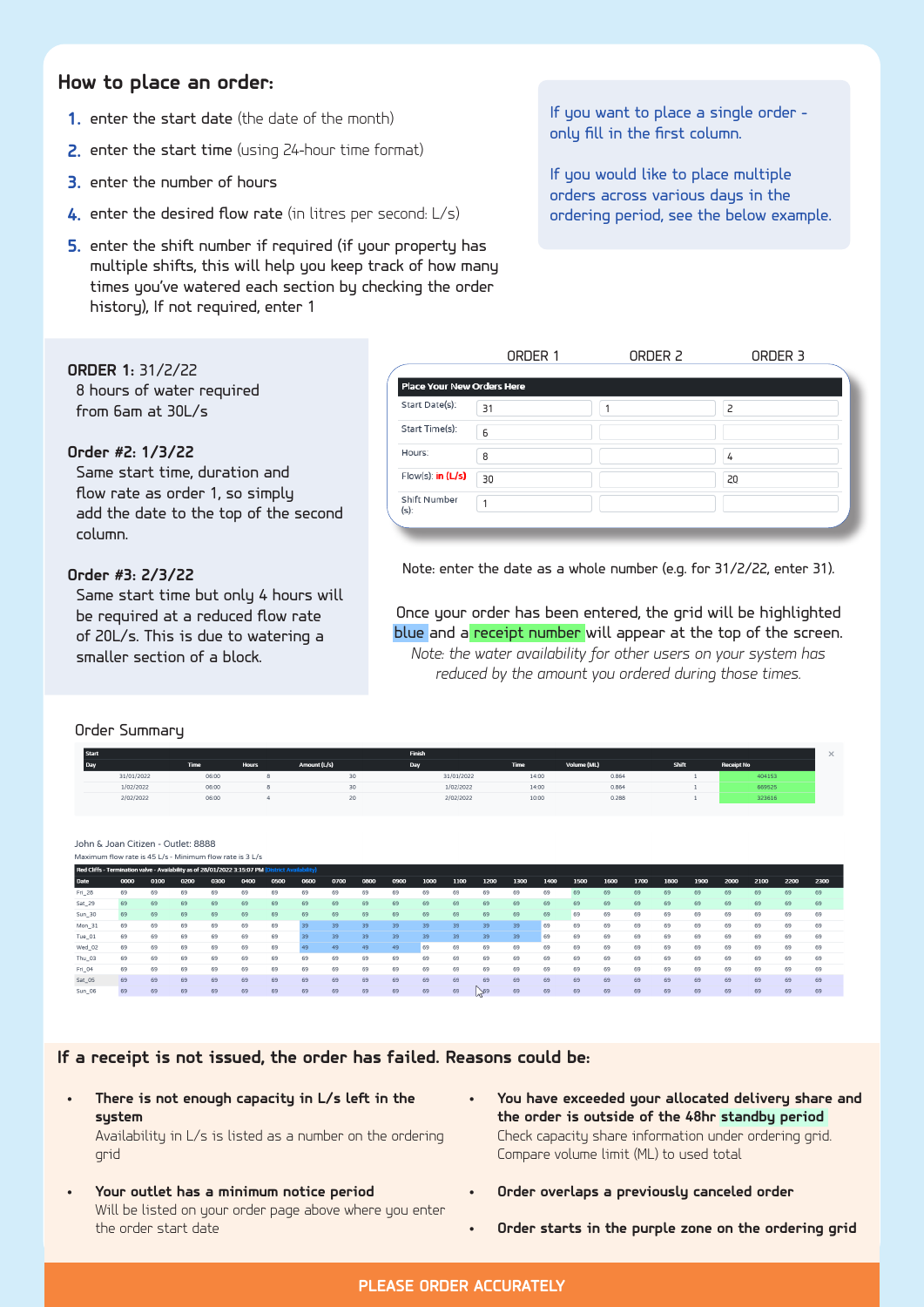# **How to place an order:**

- **1.** enter the start date (the date of the month) **1.** If you want t
- **2.** enter the start time (using 24-hour time format)
- **3.** enter the number of hours
- ENTER SHIFT NUMBER IF NOT REQUIRED ENTER 1 **4.** enter the desired flow rate (in litres per second: L/s)
- **5.** enter the shift number if required (if your property has multiple shifts, this will help you keep track of how many times you've watered each section by checking the order history), If not required, enter 1

 $\frac{1}{100}$  is the month) the month  $\frac{1}{100}$  order - $\mathbb{R}^n$  only fill in the first column.

ENTER SHIFT NUMBER – IF NOT REQUIRED ENTER 1 orders across various days in the HOW TO PLACE AN ORDER If you would like to place multiple ordering period, see the below example.

| <b>RDERM: 31/2/22</b>                                            |                            | ORDER 1 | ORDER 2 | ORDER 3 |  |
|------------------------------------------------------------------|----------------------------|---------|---------|---------|--|
| 8 hours of water required                                        | Place Your New Orders Here |         |         |         |  |
| from 6am at 30L/s                                                | Start Date(s):             | 31      |         |         |  |
|                                                                  | Start Time(s):             | 6       |         |         |  |
| rder #2: 1/3/22                                                  | Hours:                     | 8       |         | 4       |  |
| Same start time, duration and<br>flow rate as order 1, so simply | Flow(s): in $(L/s)$        | 30      |         | 20      |  |
| add the date to the top of the second                            | Shift Number<br>$(s)$ :    |         |         |         |  |
| column.                                                          |                            |         |         |         |  |

 $\#$ 3. 2/3/22  $\#$ 3. 2/3/22, enter  $\#$  Note: enter the date as a whole number (e.g. for 31/2/22, enter 31).

ORDER NO.3 I WANT TO START AT THE SAME TO START AT THE SAME TIME OF SAME TIME OF THE SAME TO START AT THE SAME TO START AT THE SAME TO START AT THE SAME TO START AT THE SAME TO START AT 2010 IN THE SAME TO RUN FOR 4 HRS AT  $\frac{1}{\sqrt{1+\frac{1}{2}}}\cos\left(\frac{1}{2}-\frac{1}{2}\right)$  and  $\frac{1}{\sqrt{1+\frac{1}{2}}}\cos\left(\frac{1}{2}-\frac{1}{2}\right)$  and  $\frac{1}{\sqrt{1+\frac{1}{2}}}\cos\left(\frac{1}{2}-\frac{1}{2}\right)$  and  $\frac{1}{\sqrt{1+\frac{1}{2}}}\sin\left(\frac{1}{2}-\frac{1}{2}\right)$  and  $\frac{1}{\sqrt{1+\frac{1}{2}}}\sin\left(\frac{1}{2}-\frac{1}{2}\right)$  and  $\frac{1}{$  $\mathcal{F}_{\mathcal{A}}$  reduced by the amount you ordered during those times. Tuch 1999, 27 IS THE START TIME START TIME SO I JUST ADD THE DATE AT THE SAME START TIME SO I JUST ADD THE STA<br>Same start time but only 4 hours will  $\blacksquare$  Once your order has been entered, the grid will be highlighted  $\blacksquare$ ./s. This is due to watering a statutuble and a <mark>receipt number</mark> will appear at the top of the screen. AS I'M WATERING A SMALLER SECTION OF MY BLOCK. FILL OUT THE DETAILS FOR ORDER NO. 1 IN THE FIRST COLUMN *Note: the water availability for other users on your system has* 

#### Order Summary

**ORDER1:** 31/2/22

**Order #2: 1/3/22**

**Order #3: 2/3/22**

be required at a reduced flow rate of 20L/s. This is due to watering a

smaller section of a block.

| <b>Start</b> |                   |              |              | Finish     |             |             |       |                   | 25 |
|--------------|-------------------|--------------|--------------|------------|-------------|-------------|-------|-------------------|----|
| неза         | Time <sup>1</sup> | <b>Hours</b> | Amount (L/s) | Day        | <b>Time</b> | Volume (ML) | Shift | <b>Receipt No</b> |    |
| 31/01/2022   | 06:00             |              | 30           | 31/01/2022 | 14:00       | 0.864       |       | 404153            |    |
| 1/02/2022    | 06:00             |              |              | 1/02/2022  | 14:00       | 0.864       |       | 669525            |    |
| 2/02/2022    | 06:00             |              |              | 2/02/2022  | 10:00       | 0.288       |       | 323616            |    |

John & Joan Citizen - Qutlet: 8888 Maximum flow rate is 45 L/s - Minimum flow rate is 3 L/s

|        | Red Cliffs - Termination valve - Availability as of 28/01/2022 3:15:07 PM (District Availability) |      |      |      |      |      |      |      |      |      |      |      |      |      |      |      |      |      |      |      |      |      |      |      |
|--------|---------------------------------------------------------------------------------------------------|------|------|------|------|------|------|------|------|------|------|------|------|------|------|------|------|------|------|------|------|------|------|------|
| Date   | 0000                                                                                              | 0100 | 0200 | 0300 | 0400 | 0500 | 0600 | 0700 | 0800 | 0900 | 1000 | 1100 | 1200 | 1300 | 1400 | 1500 | 1600 | 1700 | 1800 | 1900 | 2000 | 2100 | 2200 | 2300 |
| Fri 28 | 69                                                                                                | 69   | 69   | 69   | 69   | 69   | 69   | 69   | 69   | 69   | 69   | 69   | 69   | 69   | 69   | 69   | 69   | 69   | 69   | 69   | 69   | 69   | 69   | 69   |
| Sat 29 | 69                                                                                                | 69   | 69   | 69   | 69   | 69   | 69   | 69   | 69   | 69   | 69   | 69   | 69   | 69   | 69   | 69   | 69   | 69   | 69   | 69   | 69   | 69   | 69   | 69   |
| Sun 30 | 69                                                                                                | 69   | 69   | 69   | 69   | 69   | 69   | 69   | 69   | 69   | 69   | 69   | 69   | 69   | 69   | 69   | 69   | 69   | 69   | 69   | 69   | 69   | 69   | 69   |
| Mon 31 | 69                                                                                                | 69   | 69   | 69   | 69   | 69   | 39   | 39   | 39   | 39   | 39   | 39   | 39   | 39   | 69   | 69   | 69   | 69   | 69   | 69   | 69   | 69   | 69   | 69   |
| Tue 01 | 69                                                                                                | 69   | 69   | 69   | 69   | 69   |      | 39   | 39   | 39   | 39   | 39   | 39   | 39   | 69   | 69   | 69   | 69   | 69   | 69   | 69   | 69   | 69   | 69   |
| Wed 02 | 69                                                                                                | 69   | 69   | 69   | 69   | 69   |      | 49   | 49   | 49   | 69   | 69   | 69   | 69   | 69   | 69   | 69   | 69   | 69   | 69   | 69   | 69   | 69   | 69   |
| Thu 03 | 69                                                                                                | 69   | 69   | 69   | 69   | 69   | 69   | 69   | 69   | 69   | 69   | 69   | 69   | 69   | 69   | 69   | 69   | 69   | 69   | 69   | 69   | 69   | 69   | 69   |
| Fri 04 | 69                                                                                                | 69   | 69   | 69   | 69   | 69   | 69   | 69   | 69   | 69   | 69   | 69   | 69   | 69   | 69   | 69   | 69   | 69   | 69   | 69   | 69   | 69   | 69   | 69   |
| Sat_05 | 69                                                                                                | 69   | 69   | 69   | 69   | 69   | 69   | 69   | 69   | 69   | 69   | 69   | 69   | 69   | 69   | 69   | 69   | 69   | 69   | 69   | 69   | 69   | 69   | 69   |
| Sun 06 | 69                                                                                                | 69   | 69   | 69   | 69   | 69   | 69   | 69   | 69   | 69   | 69   | 69   | 59   | 69   | 69   | 69   | 69   | 69   | 69   | 69   | 69   | 69   | 69   | 69   |

as failed. Reasons could If a receipt is not issued, the order has failed. Reasons could be:<br>.

**• There is not enough capacity in L/s left in the system**

Availability in L/s is listed as a number on the ordering grid

- **• Your outlet has a minimum notice period** Will be listed on your order page above where you enter the order start date
- NOTE THAT THE WATER AVAILABILITY FOR OTHER USERS ON YOUR SYSTEM HAS REDUCED BY THE AMOUNT Y YOU Have exchanged the code of the code of the code of the second the code of the second the code of the second the code of the second the code of the second the code of the second the code of the second the code of the rere is not enough capacity in L/s left in the **•** You have exceeded your allocated delivery share and **the order is outside of the 48hr standby period**<br>**the order is outside of the 48hr standby period** Compare volume limit (ML) to used total Check capacity share information under ordering grid.
	- **Fig. 3 •** Order overlaps a previously canceled order **by The Amount System Has Reduced By The Amount System Has Re** 
		- **• Order starts in the purple zone on the ordering grid**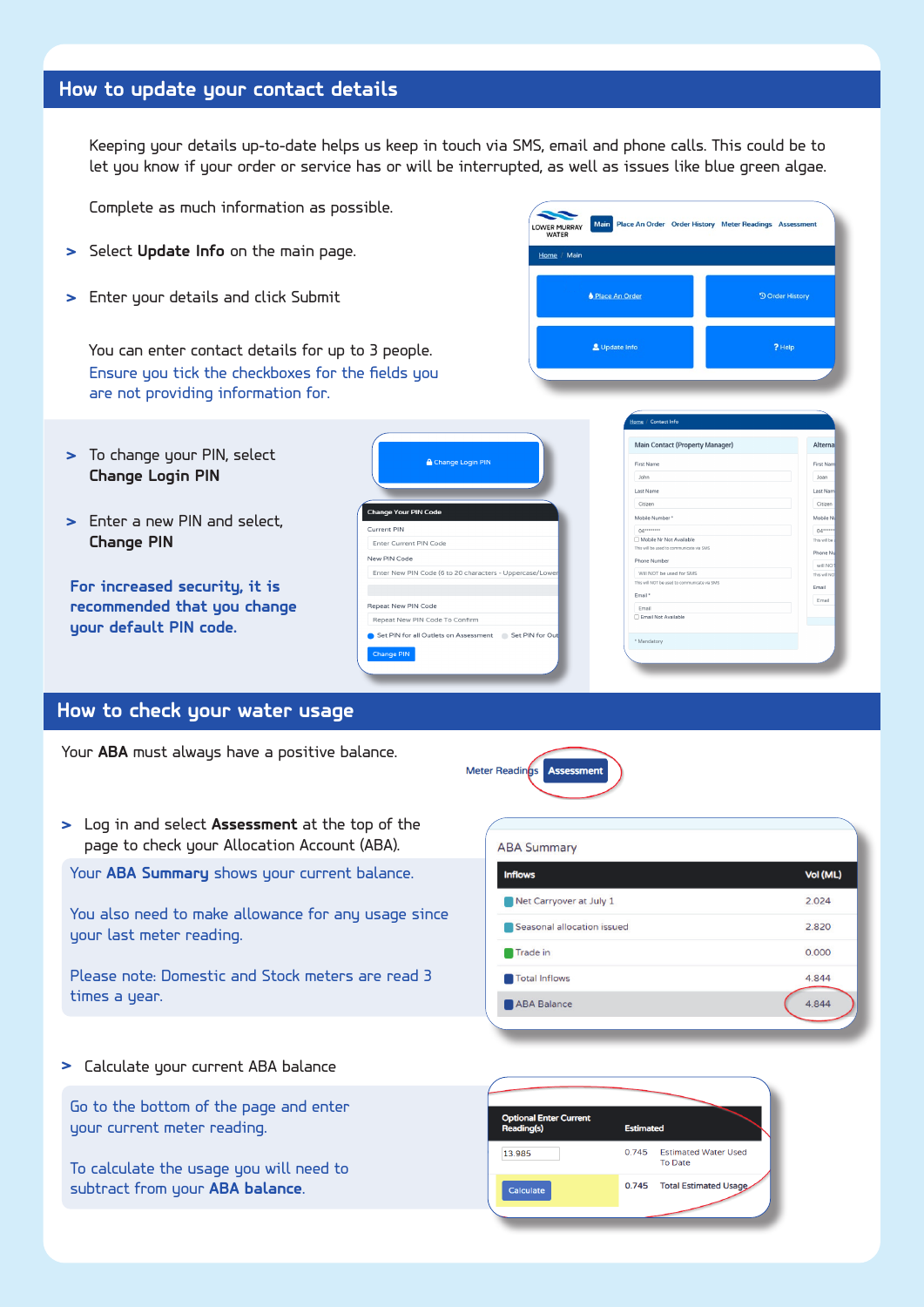# **How to update your contact details**

Keeping your details up-to-date helps us keep in touch via SMS, email and phone calls. This could be to let you know if your order or service has or will be interrupted, as well as issues like blue green algae.

Complete as much information as possible.

- **>** Select **Update Info** on the main page.
- **>** Enter your details and click Submit

Ensure you tick the checkboxes for the fields you are not providing information for. You can enter contact details for up to 3 people.

- **>** To change your PIN, select **Change Login PIN**
- **>** Enter a new PIN and select, **Change PIN**

**For increased security, it is recommended that you change your default PIN code.**

| <b>A</b> Change Login PIN                                |
|----------------------------------------------------------|
| <b>Change Your PIN Code</b>                              |
| Current PIN                                              |
| Enter Current PIN Code                                   |
| New PIN Code                                             |
| Enter New PIN Code (6 to 20 characters - Uppercase/Lower |
|                                                          |
| Repeat New PIN Code                                      |
| Repeat New PIN Code To Confirm                           |
| Set PIN for all Outlets on Assessment Set PIN for Out    |
| <b>Change PIN</b>                                        |



CHANGE YOUR DEFAULT PIN CODE

| Main Contact (Property Manager)              | Alterna      |
|----------------------------------------------|--------------|
| <b>First Name</b>                            | First Nam    |
| John                                         | Joan         |
| <b>Last Name</b>                             | Last Nam     |
| Citizen                                      | Citizen      |
| Mobile Number*                               | Mobile No    |
| $04******$                                   | $04***$      |
| Mobile Nr Not Available                      | This will be |
| This will be used to communicate via SMS     | Phone Nu     |
| Phone Number                                 |              |
|                                              | will NOT     |
| Will NOT be used for SMS                     | This will NO |
| This will NOT be used to communicate via SMS | Email        |
| Fmail *                                      | Email        |
| Email                                        |              |
| Email Not Available                          |              |
|                                              |              |
| * Mandatory                                  |              |
|                                              |              |

THIS HELPS LMW KEEP IN TOUCH VIA SMS AND PHONE CALLS IF YOUR ORDER OF YOUR ORDER OF YOUR ORDER OF YOUR ORDER O

ENTER CONTACT DETAILS FOR UP TO 3 PE0PLE

# **How to check your water usage**

Your **ABA** must always have a positive balance.



| Log in and select <b>Assessment</b> at the top of the<br>page to check your Allocation Account (ABA). | <b>ABA Summary</b>         |          |
|-------------------------------------------------------------------------------------------------------|----------------------------|----------|
| Your ABA Summary shows your current balance.                                                          | <b>Inflows</b>             | Vol (ML) |
|                                                                                                       | Net Carryover at July 1    | 2.024    |
| You also need to make allowance for any usage since<br>your last meter reading.                       | Seasonal allocation issued | 2.820    |
|                                                                                                       | Trade in                   | 0.000    |
| Please note: Domestic and Stock meters are read 3                                                     | Total Inflows              | 4.844    |
| times a year.                                                                                         | ABA Balance                | 4.844    |
|                                                                                                       |                            |          |

**>** Calculate your current ABA balance

Go to the bottom of the page and enter your current meter reading.

To calculate the usage you will need to subtract from your **ABA balance**.

| <b>Optional Enter Current</b><br>Reading(s) | <b>Estimated</b> |                                               |
|---------------------------------------------|------------------|-----------------------------------------------|
| 13.985                                      | 0.745            | <b>Estimated Water Used</b><br><b>To Date</b> |
| Calculate                                   | 0.745            | <b>Total Estimated Usage</b>                  |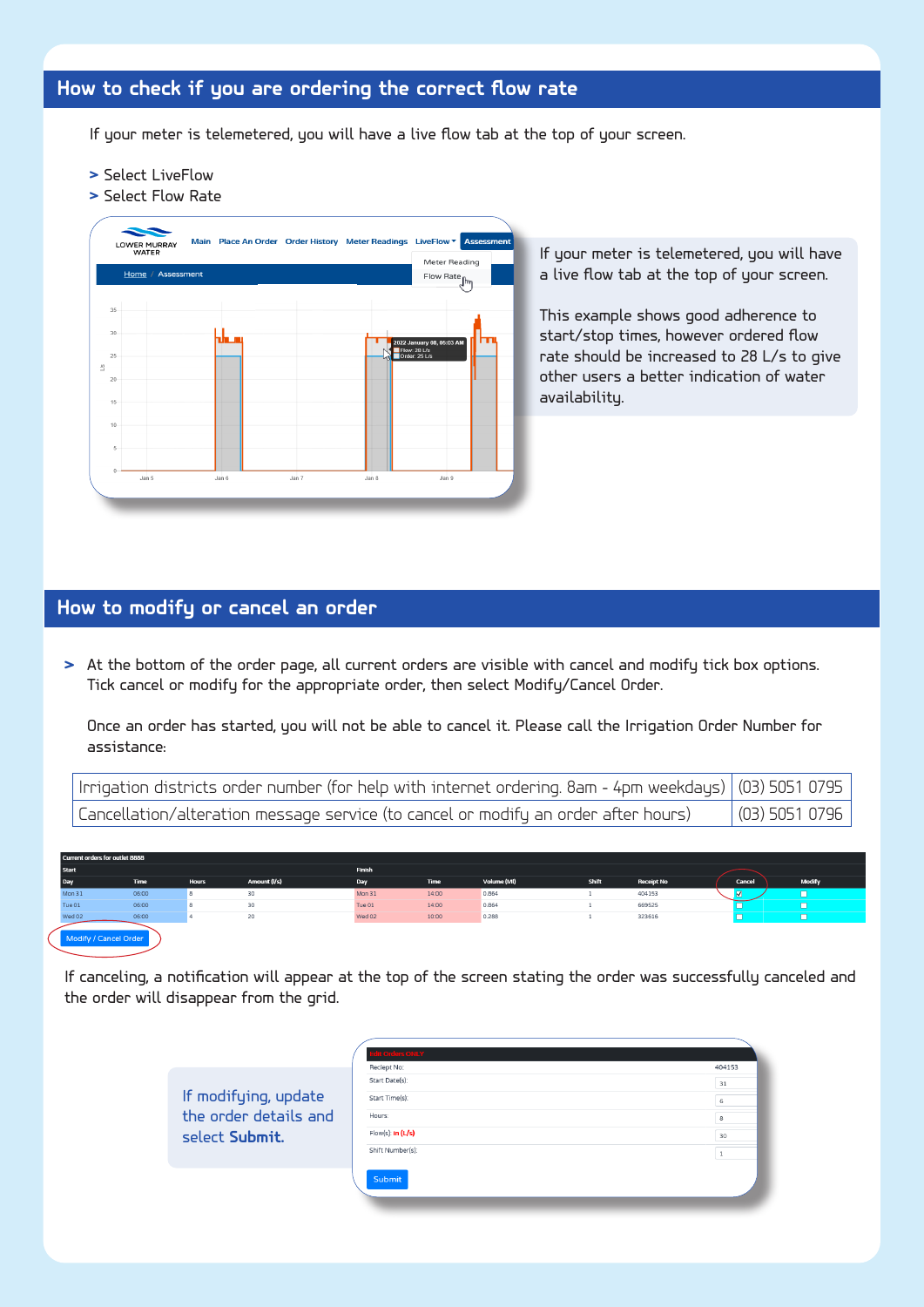# How to check if you are ordering the correct flow rate HOW TO CHECK IF YOU ARE ORDERING THE CORRECT FLOW RATE

If your meter is telemetered, you will have a live flow tab at the top of your screen. the top of the the theory HOW TO CHECK IF YOU ARE ORDERING THE CORRECT FLOW RATE If the detawort ovil e oved lips you bogate The time  $\epsilon$  of the  $\epsilon$  $I$  and  $I$  is the flow table the top of  $\mu$ The Tion cop of

 $\mathbb{E}_{\mathbf{z}}$  and  $\mathbb{E}_{\mathbf{z}}$  and  $\mathbb{E}_{\mathbf{z}}$  and  $\mathbb{E}_{\mathbf{z}}$  and  $\mathbb{E}_{\mathbf{z}}$  and  $\mathbb{E}_{\mathbf{z}}$ 

 $\mathbb{E}_{\mathbf{z}}$  and  $\mathbb{E}_{\mathbf{z}}$  and  $\mathbb{E}_{\mathbf{z}}$  and  $\mathbb{E}_{\mathbf{z}}$  and  $\mathbb{E}_{\mathbf{z}}$  and  $\mathbb{E}_{\mathbf{z}}$ 

 $\mathbb{E}_{\mathbf{z}}$  and  $\mathbb{E}_{\mathbf{z}}$  and  $\mathbb{E}_{\mathbf{z}}$  and  $\mathbb{E}_{\mathbf{z}}$  and  $\mathbb{E}_{\mathbf{z}}$  and  $\mathbb{E}_{\mathbf{z}}$ 

HOW TO CHECK IF YOU ARE ORDERING THE CORRECT FLOW RATE

- **>** Select LiveFlow
- **>** Select Flow Rate



# **How to modify or cancel an order**

**>** At the bottom of the order page, all spp.op.natellander, and riseted modify. T<sub>3</sub>-7 - <sup>- -</sup> Tick cancel or modify for the appropriate order, then select Modify/Cancel Order.  $\blacksquare$ THEN THEN A NOTIFICATION WILL APPEAR AT THE TOP OF THE SCREEN STATING THE At the bottom of the order page, all current orders are visible with cancel and modify tick box options. ORDER WAS SUCCESSFULLY CANCEL<br>ORDER WAS SUCCESSFULLY CANCELLED<br>NUMBER FOR

| low to modify or cancel an order <b>than</b>                                                                                                                                                                                        |
|-------------------------------------------------------------------------------------------------------------------------------------------------------------------------------------------------------------------------------------|
|                                                                                                                                                                                                                                     |
|                                                                                                                                                                                                                                     |
|                                                                                                                                                                                                                                     |
| > At the bottom of the order page, all current orders are visible with cancel and modify t<br>Tick cancel or modify for the appropriate order, then select Modify/Cancel Order.                                                     |
|                                                                                                                                                                                                                                     |
|                                                                                                                                                                                                                                     |
|                                                                                                                                                                                                                                     |
| Once an order has started, you will not be able to cancel it. Please call the Irrigation Order Number for<br>assistance:                                                                                                            |
|                                                                                                                                                                                                                                     |
|                                                                                                                                                                                                                                     |
|                                                                                                                                                                                                                                     |
| Irrigation districts order number (for help with internet ordering. 8am - 4pm weekdays) (03) 5051 0795<br>Cancellation/alteration message service (to cancel or modify an order after hours) (03) 5051 0796                         |
|                                                                                                                                                                                                                                     |
|                                                                                                                                                                                                                                     |
|                                                                                                                                                                                                                                     |
| Start<br>المراجعة المراجعة المراجعة المراجعة المراجعة المراجعة المراجعة المراجعة المراجعة المراجعة المراجعة المراجعة ال<br>المراجعة المراجعة المراجعة المراجعة المراجعة المراجعة المراجعة المراجعة المراجعة المراجعة المراجعة المرا |
|                                                                                                                                                                                                                                     |
|                                                                                                                                                                                                                                     |

| Current orders for outlet 8888 |             |              |              |        |       |             |       |                   |        |        |  |  |
|--------------------------------|-------------|--------------|--------------|--------|-------|-------------|-------|-------------------|--------|--------|--|--|
| <b>Start</b>                   |             |              |              | Finish |       |             |       |                   |        |        |  |  |
| Day                            | <b>Time</b> | <b>Hours</b> | Amount (I/s) | Day    | Time  | Volume (MI) | Shift | <b>Receipt No</b> | Cancel | Modify |  |  |
| Mon 31                         | 06:00       |              | 30           | Mon 31 | 14:00 | 0.864       |       | 404153            |        |        |  |  |
| Tue 01                         | 06:00       |              | 30           | Tue 01 | 14:00 | 0.864       |       | 669525            |        |        |  |  |
| Wed 02                         | 06:00       |              | 20           | Wed 02 | 10:00 | 0.288       |       | 323616            |        |        |  |  |
| Modify / Cancel Order          |             |              |              |        |       |             |       |                   |        |        |  |  |

If canceling, a notification will appear at the top of the screen stating the order was successfully canceled and the order will disappear from the grid. at the ton of the screen stating the

| select Submit.                                  |  |  |  |
|-------------------------------------------------|--|--|--|
| the contract of the contract of the contract of |  |  |  |
|                                                 |  |  |  |
|                                                 |  |  |  |
|                                                 |  |  |  |
|                                                 |  |  |  |
|                                                 |  |  |  |
|                                                 |  |  |  |
|                                                 |  |  |  |
|                                                 |  |  |  |
|                                                 |  |  |  |
|                                                 |  |  |  |